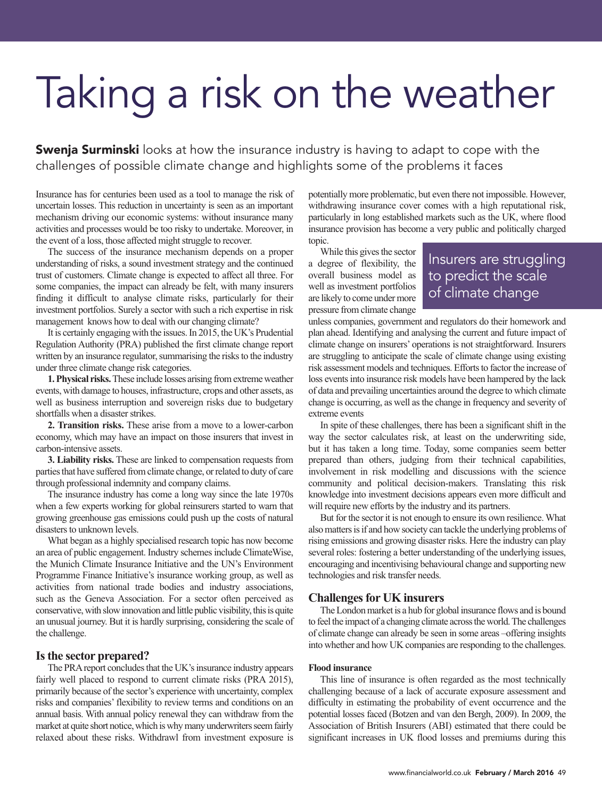# Taking a risk on the weather

**Swenja Surminski** looks at how the insurance industry is having to adapt to cope with the challenges of possible climate change and highlights some of the problems it faces

Insurance has for centuries been used as a tool to manage the risk of uncertain losses. This reduction in uncertainty is seen as an important mechanism driving our economic systems: without insurance many activities and processes would be too risky to undertake. Moreover, in the event of a loss, those affected might struggle to recover.

The success of the insurance mechanism depends on a proper understanding of risks, a sound investment strategy and the continued trust of customers. Climate change is expected to affect all three. For some companies, the impact can already be felt, with many insurers finding it difficult to analyse climate risks, particularly for their investment portfolios. Surely a sector with such a rich expertise in risk management knows how to deal with our changing climate?

It is certainly engaging with the issues.In 2015, the UK's Prudential Regulation Authority (PRA) published the first climate change report written by an insurance regulator, summarising the risks to the industry under three climate change risk categories.

**1.Physical risks.**These include losses arising fromextremeweather events, with damage to houses, infrastructure, crops and other assets, as well as business interruption and sovereign risks due to budgetary shortfalls when a disaster strikes.

**2. Transition risks.** These arise from a move to a lower-carbon economy, which may have an impact on those insurers that invest in carbon-intensive assets.

**3. Liability risks.** These are linked to compensation requests from parties that have suffered from climate change, or related to duty of care through professional indemnity and company claims.

The insurance industry has come a long way since the late 1970s when a few experts working for global reinsurers started to warn that growing greenhouse gas emissions could push up the costs of natural disasters to unknown levels.

What began as a highly specialised research topic has now become an area of public engagement. Industry schemes include ClimateWise, the Munich Climate Insurance Initiative and the UN's Environment Programme Finance Initiative's insurance working group, as well as activities from national trade bodies and industry associations, such as the Geneva Association. For a sector often perceived as conservative, with slow innovation and little public visibility, this is quite an unusual journey. But it is hardly surprising, considering the scale of the challenge.

### **Isthe sector prepared?**

The PRA report concludes that the UK's insurance industry appears fairly well placed to respond to current climate risks (PRA 2015), primarily because of the sector's experience with uncertainty, complex risks and companies' flexibility to review terms and conditions on an annual basis. With annual policy renewal they can withdraw from the market at quite short notice, which is why many underwriters seem fairly relaxed about these risks. Withdrawl from investment exposure is potentially more problematic, but even there not impossible. However, withdrawing insurance cover comes with a high reputational risk, particularly in long established markets such as the UK, where flood insurance provision has become a very public and politically charged topic.

While this gives the sector a degree of flexibility, the overall business model as well as investment portfolios are likely to come undermore pressure from climate change

## Insurers are struggling to predict the scale of climate change

unless companies, government and regulators do their homework and plan ahead. Identifying and analysing the current and future impact of climate change on insurers' operations is not straightforward. Insurers are struggling to anticipate the scale of climate change using existing risk assessment models and techniques. Efforts to factor the increase of loss events into insurance risk models have been hampered by the lack of data and prevailing uncertainties around the degree to which climate change is occurring, as well asthe change in frequency and severity of extreme events

In spite of these challenges, there has been a significant shift in the way the sector calculates risk, at least on the underwriting side, but it has taken a long time. Today, some companies seem better prepared than others, judging from their technical capabilities, involvement in risk modelling and discussions with the science community and political decision-makers. Translating this risk knowledge into investment decisions appears even more difficult and will require new efforts by the industry and its partners.

But for the sector it is not enough to ensure its own resilience.What also matters is if and how society can tackle the underlying problems of rising emissions and growing disaster risks. Here the industry can play several roles: fostering a better understanding of the underlying issues, encouraging and incentivising behavioural change and supporting new technologies and risk transfer needs.

## **Challenges for UK insurers**

The London market is a hub for global insurance flows and is bound to feel the impact of a changing climate across the world. The challenges of climate change can already be seen in some areas –offering insights into whether and how UK companies are responding to the challenges.

#### **Flood insurance**

This line of insurance is often regarded as the most technically challenging because of a lack of accurate exposure assessment and difficulty in estimating the probability of event occurrence and the potential losses faced (Botzen and van den Bergh, 2009). In 2009, the Association of British Insurers (ABI) estimated that there could be significant increases in UK flood losses and premiums during this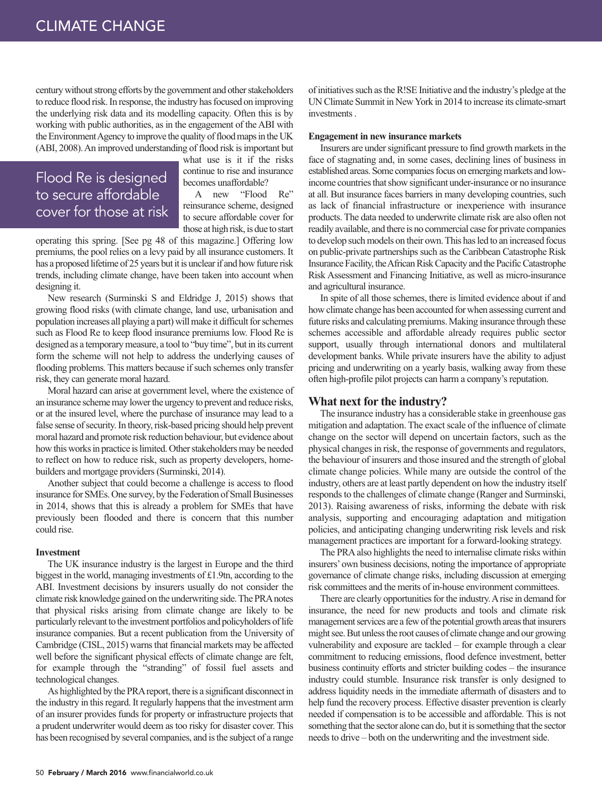century without strong efforts by the government and other stakeholders to reduce flood risk. In response, the industry has focused on improving the underlying risk data and its modelling capacity. Often this is by working with public authorities, as in the engagement of theABI with the Environment Agency to improve the quality of flood maps in the UK (ABI, 2008). An improved understanding of flood risk is important but

## Flood Re is designed to secure affordable cover for those at risk

what use is it if the risks continue to rise and insurance becomes unaffordable?

A new "Flood Re" reinsurance scheme, designed to secure affordable cover for those at high risk, is due to start

operating this spring. [See pg 48 of this magazine.] Offering low premiums, the pool relies on a levy paid by all insurance customers. It has a proposed lifetime of 25 years but it is unclear if and how future risk trends, including climate change, have been taken into account when designing it.

New research (Surminski S and Eldridge J, 2015) shows that growing flood risks (with climate change, land use, urbanisation and population increases all playing a part) will make it difficult for schemes such as Flood Re to keep flood insurance premiums low. Flood Re is designed as a temporary measure, a tool to "buy time", but in its current form the scheme will not help to address the underlying causes of flooding problems. This matters because if such schemes only transfer risk, they can generate moral hazard.

Moral hazard can arise at government level, where the existence of an insurance scheme may lower the urgency to prevent and reduce risks, or at the insured level, where the purchase of insurance may lead to a false sense of security. In theory, risk-based pricing should help prevent moral hazard and promote risk reduction behaviour, but evidence about how this works in practice is limited. Other stakeholders may be needed to reflect on how to reduce risk, such as property developers, homebuilders and mortgage providers(Surminski, 2014).

Another subject that could become a challenge is access to flood insurance for SMEs. One survey, by the Federation of Small Businesses in 2014, shows that this is already a problem for SMEs that have previously been flooded and there is concern that this number could rise.

#### **Investment**

The UK insurance industry is the largest in Europe and the third biggest in the world, managing investments of £1.9tn, according to the ABI. Investment decisions by insurers usually do not consider the climate risk knowledge gained on the underwriting side. The PRA notes that physical risks arising from climate change are likely to be particularly relevant to the investment portfolios and policyholders of life insurance companies. But a recent publication from the University of Cambridge (CISL, 2015) warns that financial markets may be affected well before the significant physical effects of climate change are felt, for example through the "stranding" of fossil fuel assets and technological changes.

As highlighted by the PRAreport, there is a significant disconnect in the industry in this regard. It regularly happens that the investment arm of an insurer provides funds for property or infrastructure projects that a prudent underwriter would deem astoo risky for disaster cover. This has been recognised by several companies, and is the subject of a range

of initiatives such as the R!SE Initiative and the industry's pledge at the UN Climate Summit in NewYork in 2014 to increase its climate-smart investments.

#### **Engagement in new insurance markets**

Insurers are under significant pressure to find growth markets in the face of stagnating and, in some cases, declining lines of business in established areas. Some companies focus on emerging markets and lowincome countries that show significant under-insurance or no insurance at all. But insurance faces barriers in many developing countries, such as lack of financial infrastructure or inexperience with insurance products. The data needed to underwrite climate risk are also often not readily available, and there is no commercial case for private companies to develop such models on their own. This has led to an increased focus on public-private partnerships such as the Caribbean Catastrophe Risk Insurance Facility, the African Risk Capacity and the Pacific Catastrophe Risk Assessment and Financing Initiative, as well as micro-insurance and agricultural insurance.

In spite of all those schemes, there is limited evidence about if and howclimate change has been accounted forwhen assessing current and future risks and calculating premiums. Making insurance through these schemes accessible and affordable already requires public sector support, usually through international donors and multilateral development banks. While private insurers have the ability to adjust pricing and underwriting on a yearly basis, walking away from these often high-profile pilot projects can harm a company's reputation.

#### **What next for the industry?**

The insurance industry has a considerable stake in greenhouse gas mitigation and adaptation. The exact scale of the influence of climate change on the sector will depend on uncertain factors, such as the physical changes in risk, the response of governments and regulators, the behaviour of insurers and those insured and the strength of global climate change policies. While many are outside the control of the industry, others are at least partly dependent on how the industry itself responds to the challenges of climate change (Ranger and Surminski, 2013). Raising awareness of risks, informing the debate with risk analysis, supporting and encouraging adaptation and mitigation policies, and anticipating changing underwriting risk levels and risk management practices are important for a forward-looking strategy.

The PRA also highlights the need to internalise climate risks within insurers'own business decisions, noting the importance of appropriate governance of climate change risks, including discussion at emerging risk committees and the merits of in-house environment committees.

There are clearly opportunities for the industry. A rise in demand for insurance, the need for new products and tools and climate risk management services are a few of the potential growth areas that insurers might see. But unless the root causes of climate change and our growing vulnerability and exposure are tackled – for example through a clear commitment to reducing emissions, flood defence investment, better business continuity efforts and stricter building codes – the insurance industry could stumble. Insurance risk transfer is only designed to address liquidity needs in the immediate aftermath of disasters and to help fund the recovery process. Effective disaster prevention is clearly needed if compensation is to be accessible and affordable. This is not something that the sector alone can do, but it is something that the sector needs to drive – both on the underwriting and the investment side.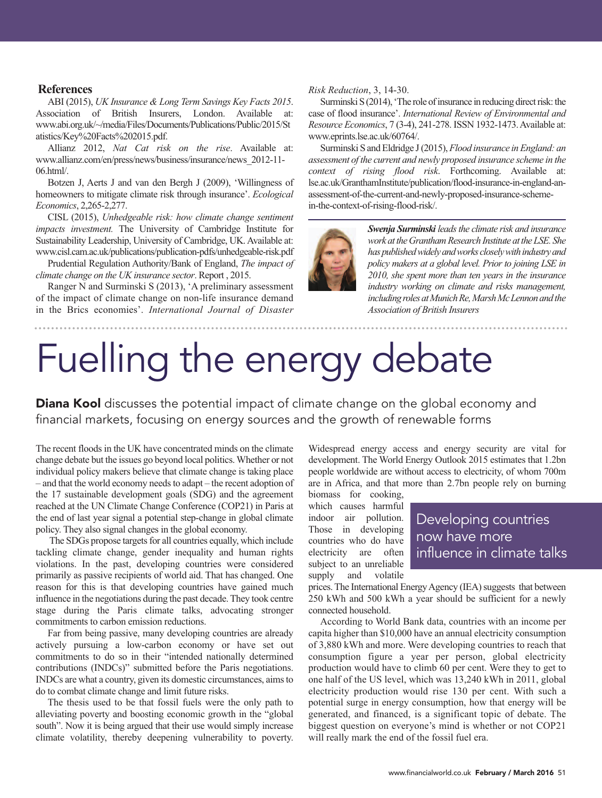### **References**

ABI (2015), *UK Insurance & Long Term Savings Key Facts 2015*. Association of British Insurers, London. Available at: www.abi.org.uk/~/media/Files/Documents/Publications/Public/2015/St atistics/Key%20Facts%202015.pdf.

Allianz 2012, *Nat Cat risk on the rise*. Available at: www.allianz.com/en/press/news/business/insurance/news\_2012-11- 06.html/.

Botzen J, Aerts J and van den Bergh J (2009), 'Willingness of homeowners to mitigate climate risk through insurance'. *Ecological Economics*, 2,265-2,277.

CISL (2015), *Unhedgeable risk: how climate change sentiment impacts investment.* The University of Cambridge Institute for Sustainability Leadership, University of Cambridge, UK. Available at: www.cisl.cam.ac.uk/publications/publication-pdfs/unhedgeable-risk.pdf

Prudential Regulation Authority/Bank of England, *The impact of climate change on the UK insurance sector*. Report , 2015.

Ranger N and Surminski S (2013), 'A preliminary assessment of the impact of climate change on non-life insurance demand in the Brics economies'. *International Journal of Disaster*

#### *Risk Reduction*, 3, 14-30.

Surminski S(2014), 'The role of insurance in reducing direct risk: the case of flood insurance'. *International Review of Environmental and Resource Economics*, 7 (3-4), 241-278. ISSN 1932-1473.Available at: www.eprints.lse.ac.uk/60764/.

Surminski S and Eldridge J (2015), Flood insurance in England: an *assessment of the current and newly proposed insurance scheme in the context of rising flood risk*. Forthcoming. Available at: lse.ac.uk/GranthamInstitute/publication/flood-insurance-in-england-anassessment-of-the-current-and-newly-proposed-insurance-schemein-the-context-of-rising-flood-risk/.



*Swenja Surminski leadsthe climate risk and insurance work attheGranthamResearch Institute attheLSE. She haspublishedwidelyandworkscloselywithindustryand policy makers at a global level. Prior to joining LSE in 2010, she spent more than ten years in the insurance industry working on climate and risks management,* including roles at Munich Re, Marsh McLennon and the *Association of British Insurers*

# Fuelling the energy debate

**Diana Kool** discusses the potential impact of climate change on the global economy and financial markets, focusing on energy sources and the growth of renewable forms

The recent floods in the UK have concentrated minds on the climate change debate but the issues go beyond local politics.Whether or not individual policy makers believe that climate change is taking place – and that the world economy needs to adapt – the recent adoption of the 17 sustainable development goals (SDG) and the agreement reached at the UN Climate Change Conference (COP21) in Paris at the end of last year signal a potential step-change in global climate policy. They also signal changes in the global economy.

The SDGs propose targets for all countries equally, which include tackling climate change, gender inequality and human rights violations. In the past, developing countries were considered primarily as passive recipients of world aid. That has changed. One reason for this is that developing countries have gained much influence in the negotiations during the past decade.They took centre stage during the Paris climate talks, advocating stronger commitments to carbon emission reductions.

Far from being passive, many developing countries are already actively pursuing a low-carbon economy or have set out commitments to do so in their "intended nationally determined contributions (INDCs)" submitted before the Paris negotiations. INDCs are what a country, given its domestic circumstances, aimsto do to combat climate change and limit future risks.

The thesis used to be that fossil fuels were the only path to alleviating poverty and boosting economic growth in the "global south". Now it is being argued that their use would simply increase climate volatility, thereby deepening vulnerability to poverty.

Widespread energy access and energy security are vital for development. The World Energy Outlook 2015 estimates that 1.2bn people worldwide are without access to electricity, of whom 700m are in Africa, and that more than 2.7bn people rely on burning biomass for cooking,

which causes harmful indoor air pollution. Those in developing countries who do have electricity are often subject to an unreliable supply and volatile

Developing countries now have more influence in climate talks

prices. The International Energy Agency (IEA) suggests that between 250 kWh and 500 kWh a year should be sufficient for a newly connected household.

According to World Bank data, countries with an income per capita higher than \$10,000 have an annual electricity consumption of 3,880 kWh and more. Were developing countries to reach that consumption figure a year per person, global electricity production would have to climb 60 per cent. Were they to get to one half of the US level, which was 13,240 kWh in 2011, global electricity production would rise 130 per cent. With such a potential surge in energy consumption, how that energy will be generated, and financed, is a significant topic of debate. The biggest question on everyone's mind is whether or not COP21 will really mark the end of the fossil fuel era.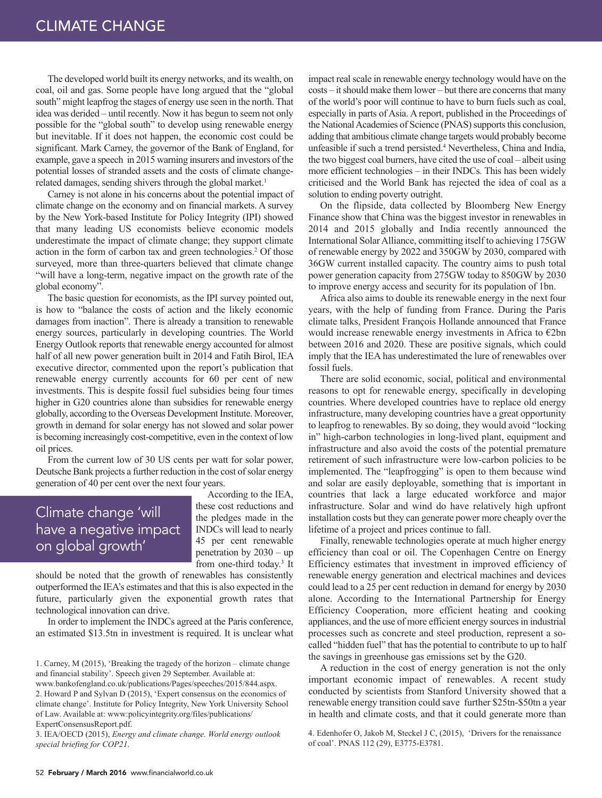The developed world built its energy networks, and its wealth, on coal, oil and gas. Some people have long argued that the "global south" might leapfrog the stages of energy use seen in the north.That idea was derided – until recently. Now it has begun to seem not only possible for the "global south" to develop using renewable energy but inevitable. If it does not happen, the economic cost could be significant. Mark Carney, the governor of the Bank of England, for example, gave a speech in 2015 warning insurers and investors of the potential losses of stranded assets and the costs of climate changerelated damages, sending shivers through the global market. 1

Carney is not alone in his concerns about the potential impact of climate change on the economy and on financial markets. A survey by the New York-based Institute for Policy Integrity (IPI) showed that many leading US economists believe economic models underestimate the impact of climate change; they support climate action in the form of carbon tax and green technologies. <sup>2</sup> Of those surveyed, more than three-quarters believed that climate change "will have a long-term, negative impact on the growth rate of the global economy".

The basic question for economists, as the IPI survey pointed out, is how to "balance the costs of action and the likely economic damages from inaction". There is already a transition to renewable energy sources, particularly in developing countries. The World Energy Outlook reports that renewable energy accounted for almost half of all new power generation built in 2014 and Fatih Birol, IEA executive director, commented upon the report's publication that renewable energy currently accounts for 60 per cent of new investments. This is despite fossil fuel subsidies being four times higher in G20 countries alone than subsidies for renewable energy globally, according to the Overseas Development Institute. Moreover, growth in demand for solar energy has not slowed and solar power is becoming increasingly cost-competitive, even in the context of low oil prices.

From the current low of 30 US cents per watt for solar power, Deutsche Bank projects a further reduction in the cost of solar energy generation of 40 per cent over the next four years.

# Climate change 'will have a negative impact on global growth'

According to the IEA, these cost reductions and the pledges made in the INDCs will lead to nearly 45 per cent renewable penetration by 2030 – up from one-third today. <sup>3</sup> It

should be noted that the growth of renewables has consistently outperformed the IEA's estimates and that this is also expected in the future, particularly given the exponential growth rates that technological innovation can drive.

In order to implement the INDCs agreed at the Paris conference, an estimated \$13.5tn in investment is required. It is unclear what

1. Carney, M (2015), 'Breaking the tragedy of the horizon – climate change and financial stability'. Speech given 29 September. Available at:

www.bankofengland.co.uk/publications/Pages/speeches/2015/844.aspx. 2. Howard P and Sylvan D (2015), 'Expert consensus on the economics of climate change'. Institute for Policy Integrity, New York University School of Law. Available at: www:policyintegrity.org/files/publications/ ExpertConsensusReport.pdf.

3. IEA/OECD (2015), *Energy and climate change. World energy outlook special briefing for COP21*.

impact real scale in renewable energy technology would have on the costs – it should make them lower – but there are concerns that many of the world's poor will continue to have to burn fuels such as coal, especially in parts of Asia. A report, published in the Proceedings of the National Academies of Science (PNAS) supports this conclusion, adding that ambitious climate change targets would probably become unfeasible if such a trend persisted. <sup>4</sup> Nevertheless, China and India, the two biggest coal burners, have cited the use of coal – albeit using more efficient technologies – in their INDCs. This has been widely criticised and the World Bank has rejected the idea of coal as a solution to ending poverty outright.

On the flipside, data collected by Bloomberg New Energy Finance show that China was the biggest investor in renewables in 2014 and 2015 globally and India recently announced the International SolarAlliance, committing itself to achieving 175GW of renewable energy by 2022 and 350GW by 2030, compared with 36GW current installed capacity. The country aims to push total power generation capacity from 275GW today to 850GW by 2030 to improve energy access and security for its population of 1bn.

Africa also aims to double its renewable energy in the next four years, with the help of funding from France. During the Paris climate talks, President François Hollande announced that France would increase renewable energy investments in Africa to €2bn between 2016 and 2020. These are positive signals, which could imply that the IEA has underestimated the lure of renewables over fossil fuels.

There are solid economic, social, political and environmental reasons to opt for renewable energy, specifically in developing countries. Where developed countries have to replace old energy infrastructure, many developing countries have a great opportunity to leapfrog to renewables. By so doing, they would avoid "locking in" high-carbon technologies in long-lived plant, equipment and infrastructure and also avoid the costs of the potential premature retirement of such infrastructure were low-carbon policies to be implemented. The "leapfrogging" is open to them because wind and solar are easily deployable, something that is important in countries that lack a large educated workforce and major infrastructure. Solar and wind do have relatively high upfront installation costs but they can generate power more cheaply over the lifetime of a project and prices continue to fall.

Finally, renewable technologies operate at much higher energy efficiency than coal or oil. The Copenhagen Centre on Energy Efficiency estimates that investment in improved efficiency of renewable energy generation and electrical machines and devices could lead to a 25 per cent reduction in demand for energy by 2030 alone. According to the International Partnership for Energy Efficiency Cooperation, more efficient heating and cooking appliances, and the use of more efficient energy sourcesin industrial processes such as concrete and steel production, represent a socalled "hidden fuel" that has the potential to contribute to up to half the savings in greenhouse gas emissions set by the G20.

A reduction in the cost of energy generation is not the only important economic impact of renewables. A recent study conducted by scientists from Stanford University showed that a renewable energy transition could save further \$25tn-\$50tn a year in health and climate costs, and that it could generate more than

4. Edenhofer O, Jakob M, Steckel J C, (2015), 'Drivers for the renaissance of coal'. PNAS 112 (29), E3775-E3781.